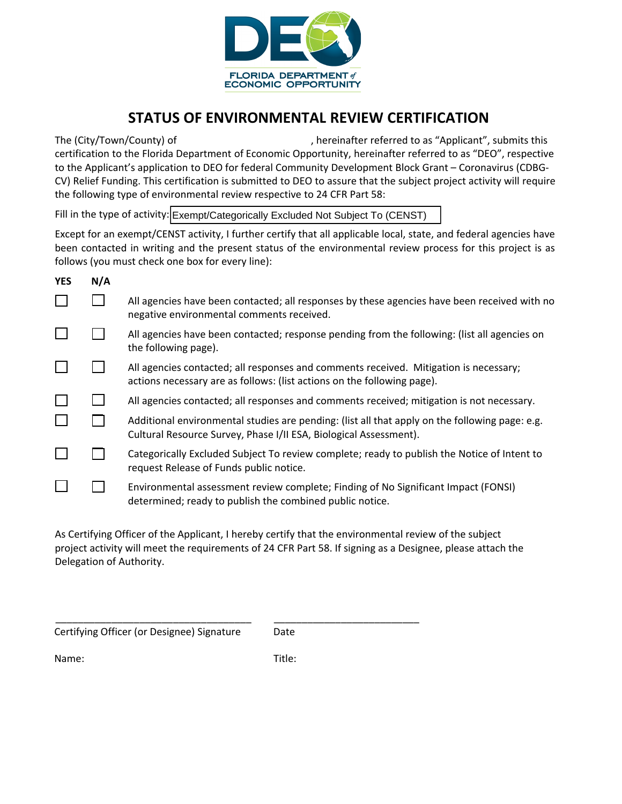

## STATUS OF ENVIRONMENTAL REVIEW CERTIFICATION

The (City/Town/County) of  $\qquad \qquad$ , hereinafter referred to as "Applicant", submits this certification to the Florida Department of Economic Opportunity, hereinafter referred to as "DEO", respective to the Applicant's application to DEO for federal Community Development Block Grant – Coronavirus (CDBG-CV) Relief Funding. This certification is submitted to DEO to assure that the subject project activity will require the following type of environmental review respective to 24 CFR Part 58:

Fill in the type of activity: Exempt/Categorically Excluded Not Subject To (CENST)

Except for an exempt/CENST activity, I further certify that all applicable local, state, and federal agencies have been contacted in writing and the present status of the environmental review process for this project is as follows (you must check one box for every line):

| <b>YES</b> | N/A |                                                                                                                                                                     |
|------------|-----|---------------------------------------------------------------------------------------------------------------------------------------------------------------------|
|            |     | All agencies have been contacted; all responses by these agencies have been received with no<br>negative environmental comments received.                           |
|            |     | All agencies have been contacted; response pending from the following: (list all agencies on<br>the following page).                                                |
|            |     | All agencies contacted; all responses and comments received. Mitigation is necessary;<br>actions necessary are as follows: (list actions on the following page).    |
|            |     | All agencies contacted; all responses and comments received; mitigation is not necessary.                                                                           |
|            |     | Additional environmental studies are pending: (list all that apply on the following page: e.g.<br>Cultural Resource Survey, Phase I/II ESA, Biological Assessment). |
|            |     | Categorically Excluded Subject To review complete; ready to publish the Notice of Intent to<br>request Release of Funds public notice.                              |
|            |     | Environmental assessment review complete; Finding of No Significant Impact (FONSI)<br>determined; ready to publish the combined public notice.                      |

As Certifying Officer of the Applicant, I hereby certify that the environmental review of the subject project activity will meet the requirements of 24 CFR Part 58. If signing as a Designee, please attach the Delegation of Authority.

\_\_\_\_\_\_\_\_\_\_\_\_\_\_\_\_\_\_\_\_\_\_\_\_\_\_\_\_\_\_\_\_\_\_\_ Certifying Officer (or Designee) Signature

Date

\_\_\_\_\_\_\_\_\_\_\_\_\_\_\_\_\_\_\_\_\_\_\_\_\_\_

Name:

Title: